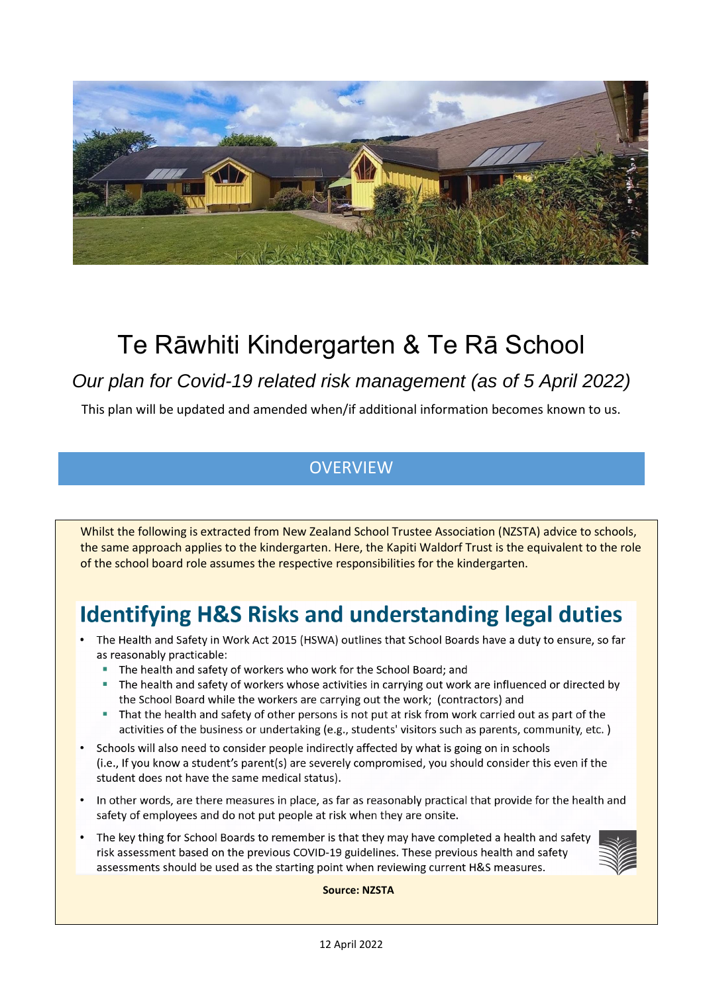

# Te Rāwhiti Kindergarten & Te Rā School

### *Our plan for Covid-19 related risk management (as of 5 April 2022)*

This plan will be updated and amended when/if additional information becomes known to us.

### **OVERVIEW**

Whilst the following is extracted from New Zealand School Trustee Association (NZSTA) advice to schools, the same approach applies to the kindergarten. Here, the Kapiti Waldorf Trust is the equivalent to the role of the school board role assumes the respective responsibilities for the kindergarten.

# **Identifying H&S Risks and understanding legal duties**

- The Health and Safety in Work Act 2015 (HSWA) outlines that School Boards have a duty to ensure, so far as reasonably practicable:
	- The health and safety of workers who work for the School Board; and
	- The health and safety of workers whose activities in carrying out work are influenced or directed by the School Board while the workers are carrying out the work; (contractors) and
	- That the health and safety of other persons is not put at risk from work carried out as part of the activities of the business or undertaking (e.g., students' visitors such as parents, community, etc.)
- Schools will also need to consider people indirectly affected by what is going on in schools (i.e., If you know a student's parent(s) are severely compromised, you should consider this even if the student does not have the same medical status).
- In other words, are there measures in place, as far as reasonably practical that provide for the health and safety of employees and do not put people at risk when they are onsite.
- The key thing for School Boards to remember is that they may have completed a health and safety risk assessment based on the previous COVID-19 guidelines. These previous health and safety assessments should be used as the starting point when reviewing current H&S measures.



**Source: NZSTA**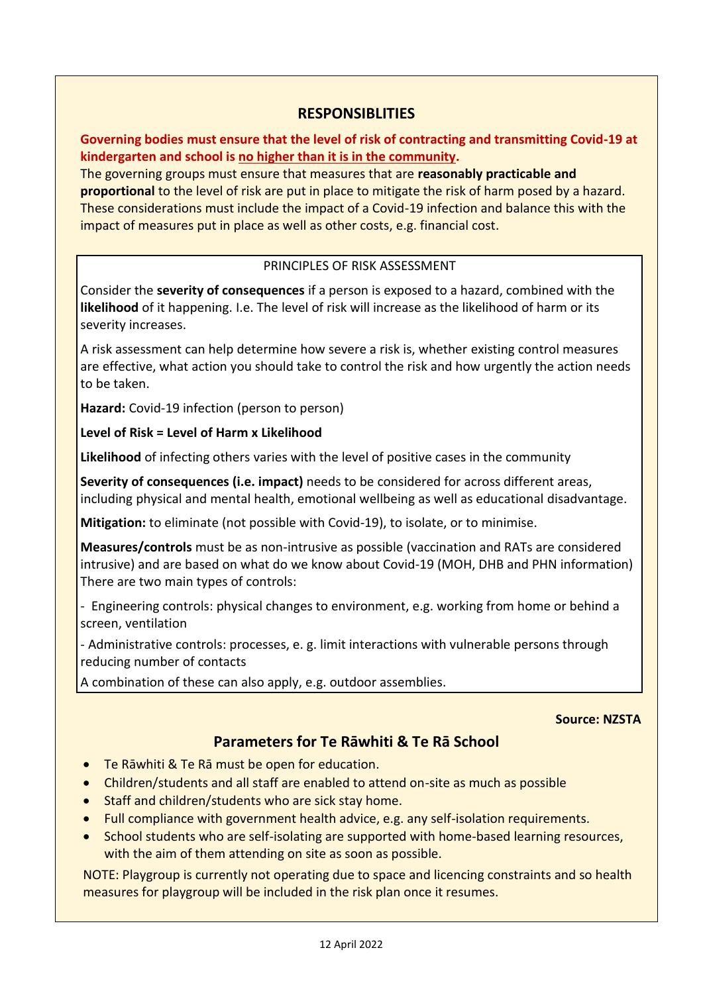#### **RESPONSIBLITIES**

**Governing bodies must ensure that the level of risk of contracting and transmitting Covid-19 at kindergarten and school is no higher than it is in the community.**

The governing groups must ensure that measures that are **reasonably practicable and proportional** to the level of risk are put in place to mitigate the risk of harm posed by a hazard. These considerations must include the impact of a Covid-19 infection and balance this with the impact of measures put in place as well as other costs, e.g. financial cost.

#### PRINCIPLES OF RISK ASSESSMENT

Consider the **severity of consequences** if a person is exposed to a hazard, combined with the **likelihood** of it happening. I.e. The level of risk will increase as the likelihood of harm or its severity increases.

A risk assessment can help determine how severe a risk is, whether existing control measures are effective, what action you should take to control the risk and how urgently the action needs to be taken.

**Hazard:** Covid-19 infection (person to person)

#### **Level of Risk = Level of Harm x Likelihood**

**Likelihood** of infecting others varies with the level of positive cases in the community

**Severity of consequences (i.e. impact)** needs to be considered for across different areas, including physical and mental health, emotional wellbeing as well as educational disadvantage.

**Mitigation:** to eliminate (not possible with Covid-19), to isolate, or to minimise.

**Measures/controls** must be as non-intrusive as possible (vaccination and RATs are considered intrusive) and are based on what do we know about Covid-19 (MOH, DHB and PHN information) There are two main types of controls:

- Engineering controls: physical changes to environment, e.g. working from home or behind a screen, ventilation

- Administrative controls: processes, e. g. limit interactions with vulnerable persons through reducing number of contacts

A combination of these can also apply, e.g. outdoor assemblies.

#### **Source: NZSTA**

#### **Parameters for Te Rāwhiti & Te Rā School**

- Te Rāwhiti & Te Rā must be open for education.
- Children/students and all staff are enabled to attend on-site as much as possible
- Staff and children/students who are sick stay home.
- Full compliance with government health advice, e.g. any self-isolation requirements.
- School students who are self-isolating are supported with home-based learning resources, with the aim of them attending on site as soon as possible.

NOTE: Playgroup is currently not operating due to space and licencing constraints and so health measures for playgroup will be included in the risk plan once it resumes.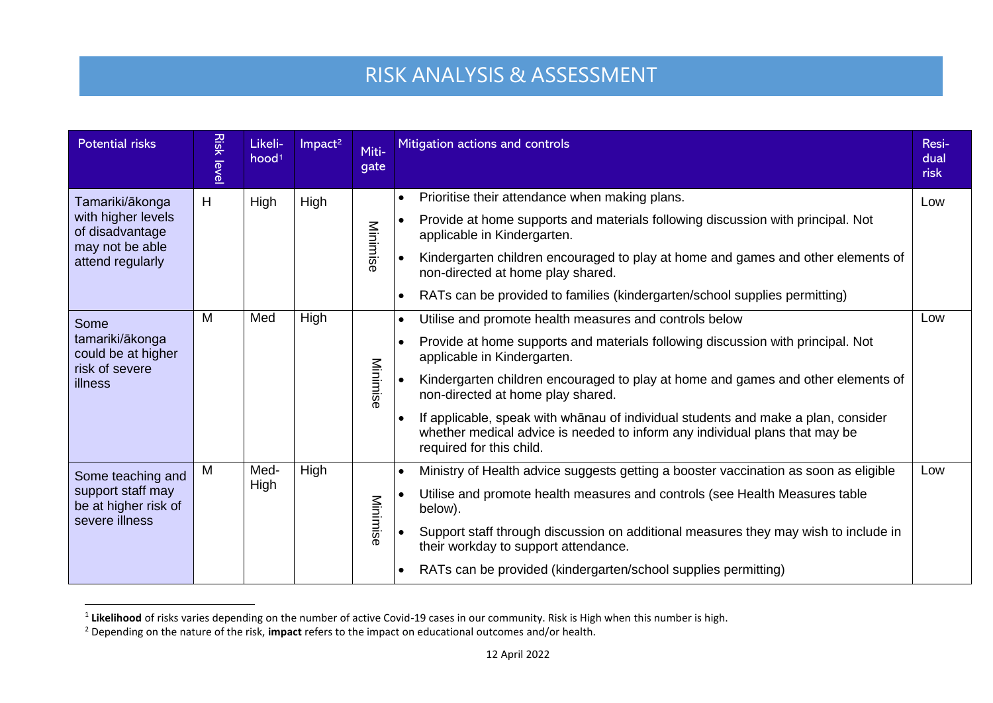# RISK ANALYSIS & ASSESSMENT

| <b>Potential risks</b>                                                                          | <b>Risk level</b> | Likeli-<br>hood <sup>1</sup> | Impact <sup>2</sup> | Miti-<br>gate | Mitigation actions and controls                                                                                                                                                                           | Resi-<br>dual<br>risk |
|-------------------------------------------------------------------------------------------------|-------------------|------------------------------|---------------------|---------------|-----------------------------------------------------------------------------------------------------------------------------------------------------------------------------------------------------------|-----------------------|
| Tamariki/ākonga<br>with higher levels<br>of disadvantage<br>may not be able<br>attend regularly | H                 | High                         | High                | Minimise      | Prioritise their attendance when making plans.<br>$\bullet$                                                                                                                                               | Low                   |
|                                                                                                 |                   |                              |                     |               | Provide at home supports and materials following discussion with principal. Not<br>$\bullet$<br>applicable in Kindergarten.                                                                               |                       |
|                                                                                                 |                   |                              |                     |               | Kindergarten children encouraged to play at home and games and other elements of<br>$\bullet$<br>non-directed at home play shared.                                                                        |                       |
|                                                                                                 |                   |                              |                     |               | RATs can be provided to families (kindergarten/school supplies permitting)<br>$\bullet$                                                                                                                   |                       |
| Some<br>tamariki/ākonga<br>could be at higher<br>risk of severe<br>illness                      | M                 | Med                          | High                |               | Utilise and promote health measures and controls below                                                                                                                                                    | Low                   |
|                                                                                                 |                   |                              |                     |               | Provide at home supports and materials following discussion with principal. Not<br>$\bullet$<br>applicable in Kindergarten.                                                                               |                       |
|                                                                                                 |                   |                              |                     | Minimise      | Kindergarten children encouraged to play at home and games and other elements of<br>$\bullet$<br>non-directed at home play shared.                                                                        |                       |
|                                                                                                 |                   |                              |                     |               | If applicable, speak with whānau of individual students and make a plan, consider<br>$\bullet$<br>whether medical advice is needed to inform any individual plans that may be<br>required for this child. |                       |
| Some teaching and<br>support staff may<br>be at higher risk of<br>severe illness                | M                 | Med-                         | High                |               | Ministry of Health advice suggests getting a booster vaccination as soon as eligible<br>$\bullet$                                                                                                         | Low                   |
|                                                                                                 |                   | High                         |                     | Minimise      | Utilise and promote health measures and controls (see Health Measures table<br>below).                                                                                                                    |                       |
|                                                                                                 |                   |                              |                     |               | Support staff through discussion on additional measures they may wish to include in<br>their workday to support attendance.                                                                               |                       |
|                                                                                                 |                   |                              |                     |               | RATs can be provided (kindergarten/school supplies permitting)<br>$\bullet$                                                                                                                               |                       |

<sup>&</sup>lt;sup>1</sup> Likelihood of risks varies depending on the number of active Covid-19 cases in our community. Risk is High when this number is high.

<sup>2</sup> Depending on the nature of the risk, **impact** refers to the impact on educational outcomes and/or health.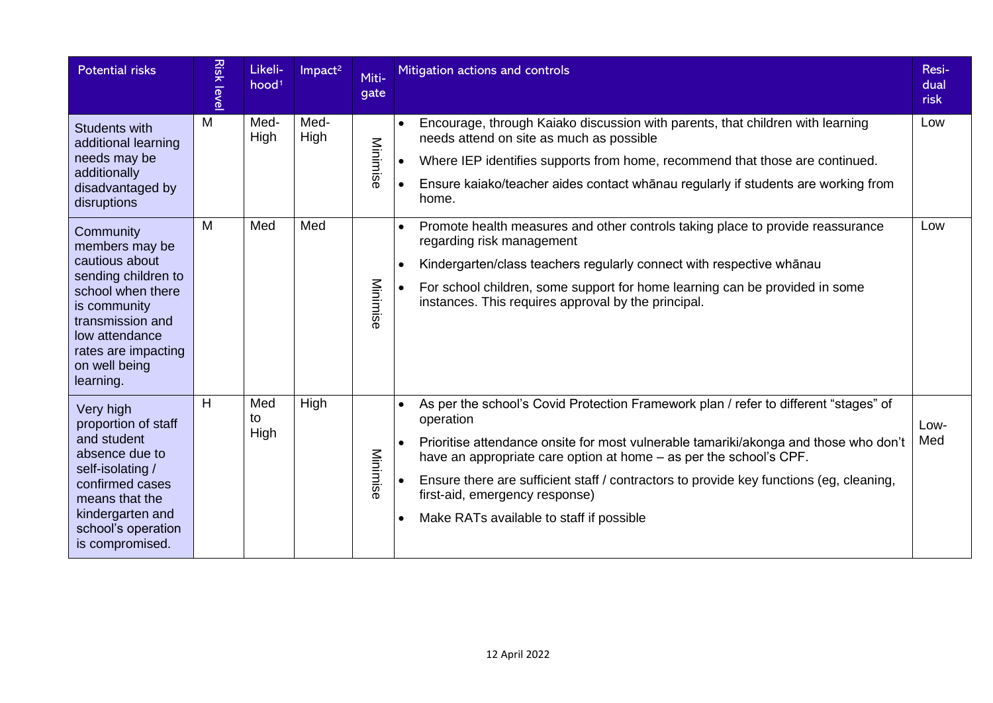| <b>Potential risks</b>                                                                                                                                                                               | <b>Risk leve</b> | Likeli-<br>hood <sup>1</sup> | Impact <sup>2</sup> | Miti-<br>gate | Mitigation actions and controls                                                                                                                                                                                                                                                                                                                                                                                                                                                 | Resi-<br>dual<br>risk |
|------------------------------------------------------------------------------------------------------------------------------------------------------------------------------------------------------|------------------|------------------------------|---------------------|---------------|---------------------------------------------------------------------------------------------------------------------------------------------------------------------------------------------------------------------------------------------------------------------------------------------------------------------------------------------------------------------------------------------------------------------------------------------------------------------------------|-----------------------|
| Students with<br>additional learning<br>needs may be<br>additionally<br>disadvantaged by<br>disruptions                                                                                              | M                | Med-<br>High                 | Med-<br>High        | Minimise      | Encourage, through Kaiako discussion with parents, that children with learning<br>$\bullet$<br>needs attend on site as much as possible<br>Where IEP identifies supports from home, recommend that those are continued.<br>Ensure kaiako/teacher aides contact whanau regularly if students are working from<br>$\bullet$<br>home.                                                                                                                                              | Low                   |
| Community<br>members may be<br>cautious about<br>sending children to<br>school when there<br>is community<br>transmission and<br>low attendance<br>rates are impacting<br>on well being<br>learning. | M                | Med                          | Med                 | Minimise      | Promote health measures and other controls taking place to provide reassurance<br>$\bullet$<br>regarding risk management<br>Kindergarten/class teachers regularly connect with respective whanau<br>$\bullet$<br>For school children, some support for home learning can be provided in some<br>instances. This requires approval by the principal.                                                                                                                             | Low                   |
| Very high<br>proportion of staff<br>and student<br>absence due to<br>self-isolating /<br>confirmed cases<br>means that the<br>kindergarten and<br>school's operation<br>is compromised.              | H                | Med<br>to<br>High            | High                | Minimise      | As per the school's Covid Protection Framework plan / refer to different "stages" of<br>$\bullet$<br>operation<br>Prioritise attendance onsite for most vulnerable tamariki/akonga and those who don't<br>$\bullet$<br>have an appropriate care option at home – as per the school's CPF.<br>Ensure there are sufficient staff / contractors to provide key functions (eg, cleaning,<br>first-aid, emergency response)<br>Make RATs available to staff if possible<br>$\bullet$ | Low-<br>Med           |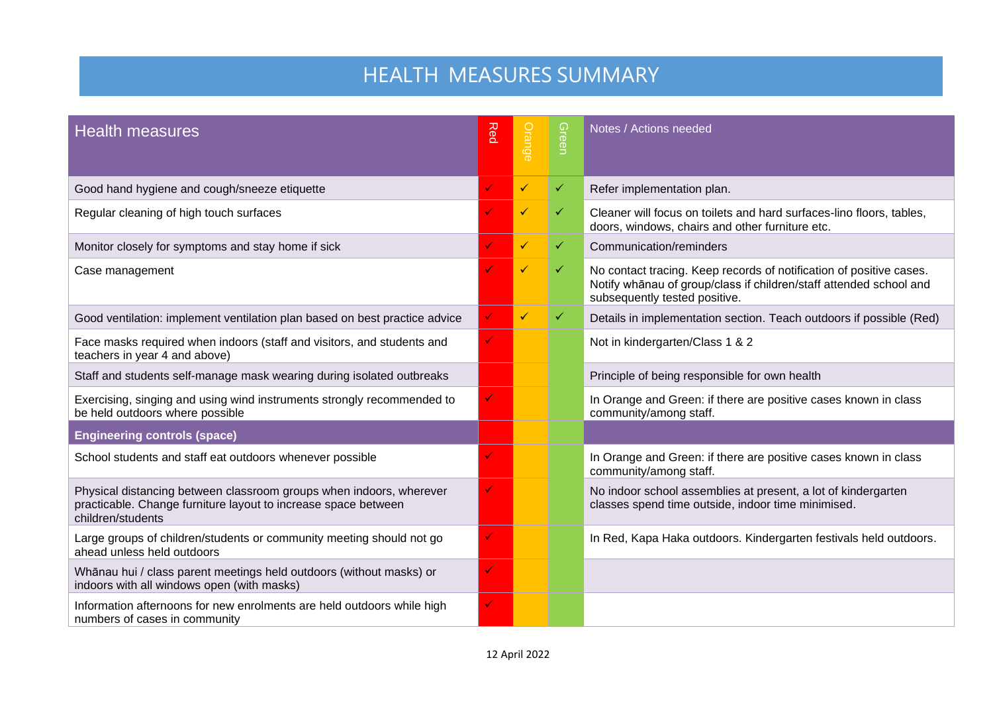# HEALTH MEASURES SUMMARY

| <b>Health measures</b>                                                                                                                                     | Red          | Orange       | Green        | Notes / Actions needed                                                                                                                                                     |
|------------------------------------------------------------------------------------------------------------------------------------------------------------|--------------|--------------|--------------|----------------------------------------------------------------------------------------------------------------------------------------------------------------------------|
| Good hand hygiene and cough/sneeze etiquette                                                                                                               | ✓            | $\checkmark$ | $\checkmark$ | Refer implementation plan.                                                                                                                                                 |
| Regular cleaning of high touch surfaces                                                                                                                    |              | ✓            | ✓            | Cleaner will focus on toilets and hard surfaces-lino floors, tables,<br>doors, windows, chairs and other furniture etc.                                                    |
| Monitor closely for symptoms and stay home if sick                                                                                                         |              | ✓            | ✓            | Communication/reminders                                                                                                                                                    |
| Case management                                                                                                                                            |              | ✓            | ✓            | No contact tracing. Keep records of notification of positive cases.<br>Notify whānau of group/class if children/staff attended school and<br>subsequently tested positive. |
| Good ventilation: implement ventilation plan based on best practice advice                                                                                 |              | $\checkmark$ | $\checkmark$ | Details in implementation section. Teach outdoors if possible (Red)                                                                                                        |
| Face masks required when indoors (staff and visitors, and students and<br>teachers in year 4 and above)                                                    |              |              |              | Not in kindergarten/Class 1 & 2                                                                                                                                            |
| Staff and students self-manage mask wearing during isolated outbreaks                                                                                      |              |              |              | Principle of being responsible for own health                                                                                                                              |
| Exercising, singing and using wind instruments strongly recommended to<br>be held outdoors where possible                                                  | $\checkmark$ |              |              | In Orange and Green: if there are positive cases known in class<br>community/among staff.                                                                                  |
| <b>Engineering controls (space)</b>                                                                                                                        |              |              |              |                                                                                                                                                                            |
| School students and staff eat outdoors whenever possible                                                                                                   | V            |              |              | In Orange and Green: if there are positive cases known in class<br>community/among staff.                                                                                  |
| Physical distancing between classroom groups when indoors, wherever<br>practicable. Change furniture layout to increase space between<br>children/students | $\checkmark$ |              |              | No indoor school assemblies at present, a lot of kindergarten<br>classes spend time outside, indoor time minimised.                                                        |
| Large groups of children/students or community meeting should not go<br>ahead unless held outdoors                                                         | $\checkmark$ |              |              | In Red, Kapa Haka outdoors. Kindergarten festivals held outdoors.                                                                                                          |
| Whānau hui / class parent meetings held outdoors (without masks) or<br>indoors with all windows open (with masks)                                          | $\checkmark$ |              |              |                                                                                                                                                                            |
| Information afternoons for new enrolments are held outdoors while high<br>numbers of cases in community                                                    | $\checkmark$ |              |              |                                                                                                                                                                            |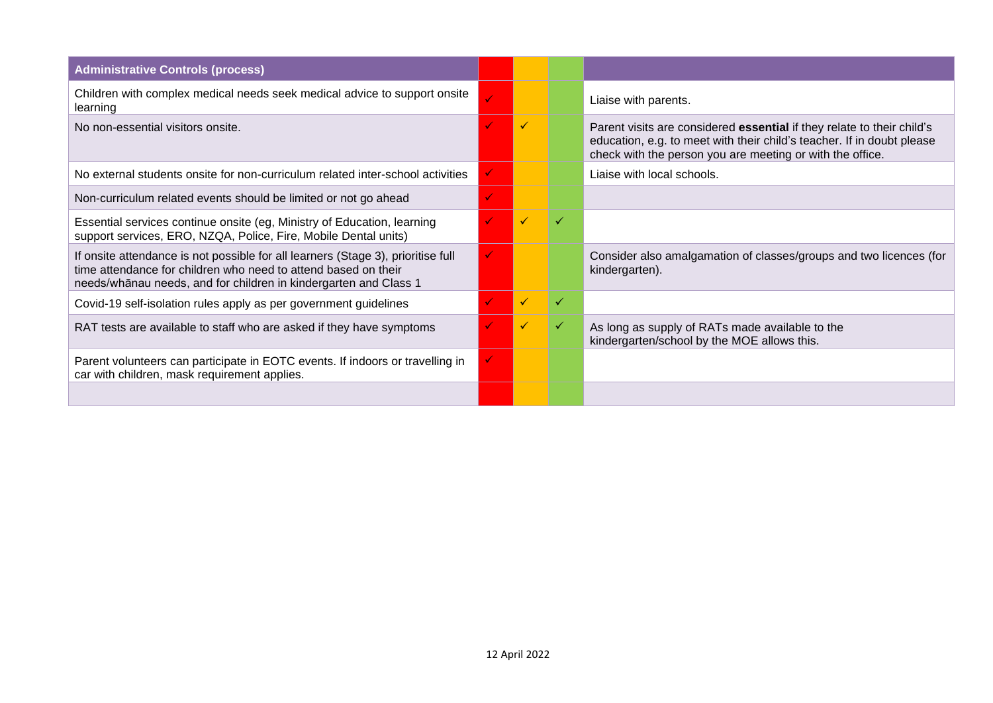| <b>Administrative Controls (process)</b>                                                                                                                                                                               |              |   |   |                                                                                                                                                                                                               |
|------------------------------------------------------------------------------------------------------------------------------------------------------------------------------------------------------------------------|--------------|---|---|---------------------------------------------------------------------------------------------------------------------------------------------------------------------------------------------------------------|
| Children with complex medical needs seek medical advice to support onsite<br>learning                                                                                                                                  |              |   |   | Liaise with parents.                                                                                                                                                                                          |
| No non-essential visitors onsite.                                                                                                                                                                                      |              | ✓ |   | Parent visits are considered essential if they relate to their child's<br>education, e.g. to meet with their child's teacher. If in doubt please<br>check with the person you are meeting or with the office. |
| No external students onsite for non-curriculum related inter-school activities                                                                                                                                         |              |   |   | Liaise with local schools.                                                                                                                                                                                    |
| Non-curriculum related events should be limited or not go ahead                                                                                                                                                        | ✓            |   |   |                                                                                                                                                                                                               |
| Essential services continue onsite (eg, Ministry of Education, learning<br>support services, ERO, NZQA, Police, Fire, Mobile Dental units)                                                                             |              | ✓ | ✓ |                                                                                                                                                                                                               |
| If onsite attendance is not possible for all learners (Stage 3), prioritise full<br>time attendance for children who need to attend based on their<br>needs/whānau needs, and for children in kindergarten and Class 1 | $\checkmark$ |   |   | Consider also amalgamation of classes/groups and two licences (for<br>kindergarten).                                                                                                                          |
| Covid-19 self-isolation rules apply as per government guidelines                                                                                                                                                       |              | ✓ | ✓ |                                                                                                                                                                                                               |
| RAT tests are available to staff who are asked if they have symptoms                                                                                                                                                   |              | ✓ | ✓ | As long as supply of RATs made available to the<br>kindergarten/school by the MOE allows this.                                                                                                                |
| Parent volunteers can participate in EOTC events. If indoors or travelling in<br>car with children, mask requirement applies.                                                                                          | $\checkmark$ |   |   |                                                                                                                                                                                                               |
|                                                                                                                                                                                                                        |              |   |   |                                                                                                                                                                                                               |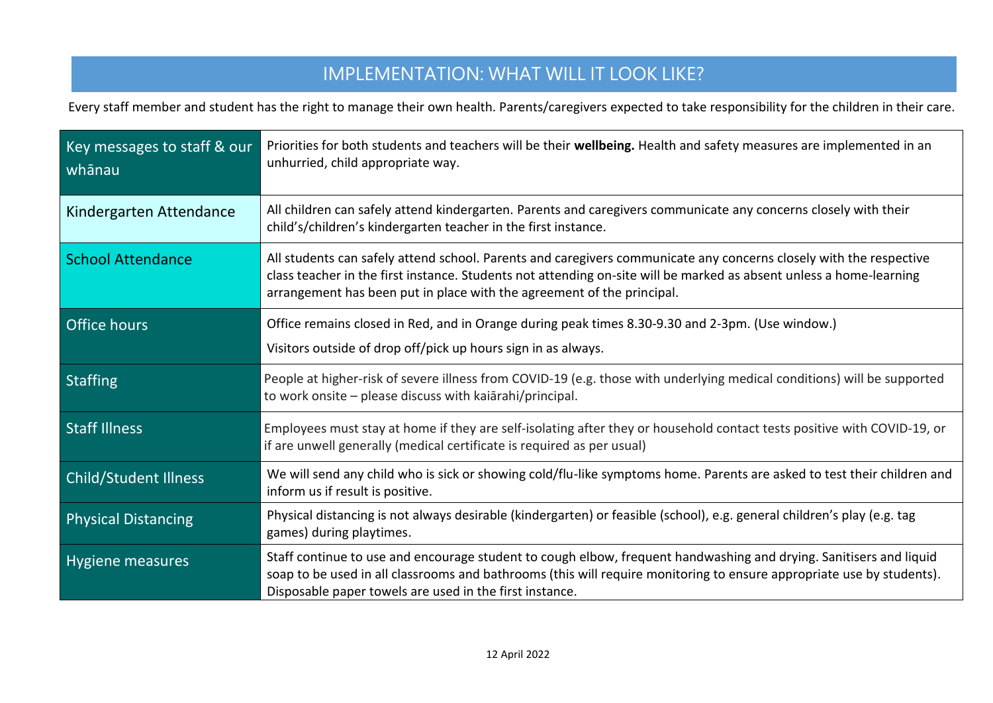### IMPLEMENTATION: WHAT WILL IT LOOK LIKE?

Every staff member and student has the right to manage their own health. Parents/caregivers expected to take responsibility for the children in their care.

| Key messages to staff & our<br>whānau | Priorities for both students and teachers will be their wellbeing. Health and safety measures are implemented in an<br>unhurried, child appropriate way.                                                                                                                                                            |
|---------------------------------------|---------------------------------------------------------------------------------------------------------------------------------------------------------------------------------------------------------------------------------------------------------------------------------------------------------------------|
| Kindergarten Attendance               | All children can safely attend kindergarten. Parents and caregivers communicate any concerns closely with their<br>child's/children's kindergarten teacher in the first instance.                                                                                                                                   |
| <b>School Attendance</b>              | All students can safely attend school. Parents and caregivers communicate any concerns closely with the respective<br>class teacher in the first instance. Students not attending on-site will be marked as absent unless a home-learning<br>arrangement has been put in place with the agreement of the principal. |
| <b>Office hours</b>                   | Office remains closed in Red, and in Orange during peak times 8.30-9.30 and 2-3pm. (Use window.)<br>Visitors outside of drop off/pick up hours sign in as always.                                                                                                                                                   |
| <b>Staffing</b>                       | People at higher-risk of severe illness from COVID-19 (e.g. those with underlying medical conditions) will be supported<br>to work onsite - please discuss with kaiarahi/principal.                                                                                                                                 |
| <b>Staff Illness</b>                  | Employees must stay at home if they are self-isolating after they or household contact tests positive with COVID-19, or<br>if are unwell generally (medical certificate is required as per usual)                                                                                                                   |
| <b>Child/Student Illness</b>          | We will send any child who is sick or showing cold/flu-like symptoms home. Parents are asked to test their children and<br>inform us if result is positive.                                                                                                                                                         |
| <b>Physical Distancing</b>            | Physical distancing is not always desirable (kindergarten) or feasible (school), e.g. general children's play (e.g. tag<br>games) during playtimes.                                                                                                                                                                 |
| Hygiene measures                      | Staff continue to use and encourage student to cough elbow, frequent handwashing and drying. Sanitisers and liquid<br>soap to be used in all classrooms and bathrooms (this will require monitoring to ensure appropriate use by students).<br>Disposable paper towels are used in the first instance.              |